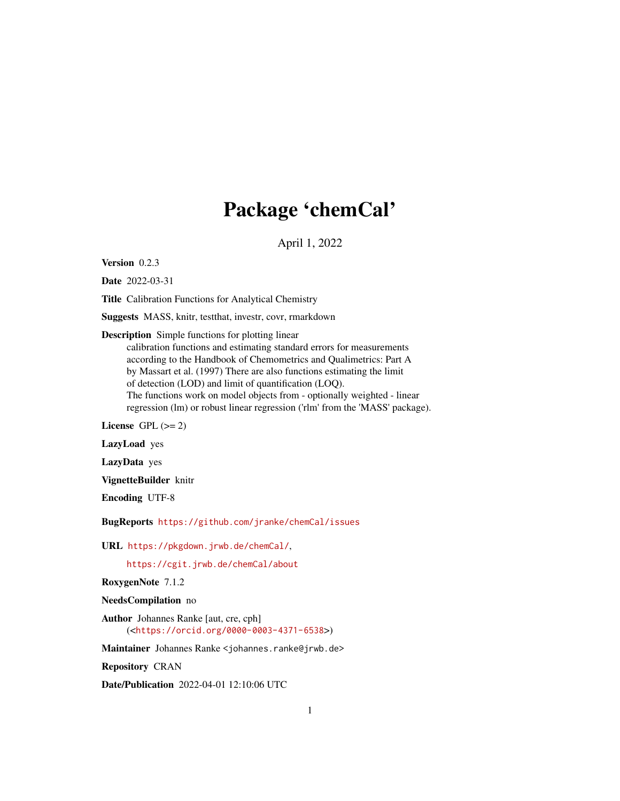# Package 'chemCal'

April 1, 2022

<span id="page-0-0"></span>Version 0.2.3

Date 2022-03-31

Title Calibration Functions for Analytical Chemistry

Suggests MASS, knitr, testthat, investr, covr, rmarkdown

Description Simple functions for plotting linear

calibration functions and estimating standard errors for measurements according to the Handbook of Chemometrics and Qualimetrics: Part A by Massart et al. (1997) There are also functions estimating the limit of detection (LOD) and limit of quantification (LOQ). The functions work on model objects from - optionally weighted - linear regression (lm) or robust linear regression ('rlm' from the 'MASS' package).

License GPL  $(>= 2)$ 

LazyLoad yes

LazyData yes

VignetteBuilder knitr

Encoding UTF-8

BugReports <https://github.com/jranke/chemCal/issues>

URL <https://pkgdown.jrwb.de/chemCal/>,

<https://cgit.jrwb.de/chemCal/about>

RoxygenNote 7.1.2

NeedsCompilation no

Author Johannes Ranke [aut, cre, cph] (<<https://orcid.org/0000-0003-4371-6538>>)

Maintainer Johannes Ranke <johannes.ranke@jrwb.de>

Repository CRAN

Date/Publication 2022-04-01 12:10:06 UTC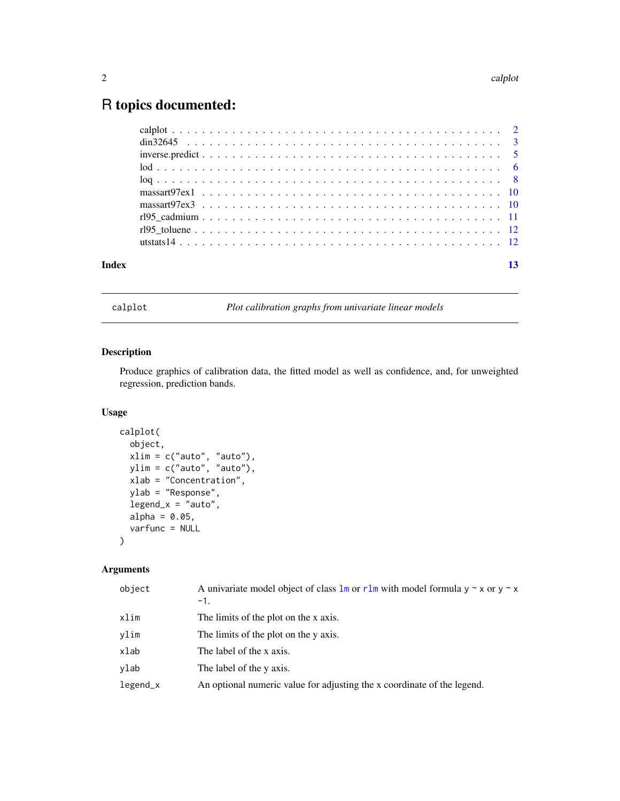## <span id="page-1-0"></span>R topics documented:

| Index |  |  |  |
|-------|--|--|--|
|       |  |  |  |
|       |  |  |  |
|       |  |  |  |
|       |  |  |  |
|       |  |  |  |
|       |  |  |  |
|       |  |  |  |
|       |  |  |  |
|       |  |  |  |
|       |  |  |  |

<span id="page-1-1"></span>calplot *Plot calibration graphs from univariate linear models*

### Description

Produce graphics of calibration data, the fitted model as well as confidence, and, for unweighted regression, prediction bands.

#### Usage

```
calplot(
  object,
  xlim = c("auto", "auto"),
 ylim = c("auto", "auto"),
  xlab = "Concentration",
 ylab = "Response",
  legend_x = "auto",alpha = 0.05,
  varfunc = NULL
\mathcal{L}
```
#### Arguments

| object     | A univariate model object of class $\text{Im} \text{ or } \text{rlm}$ with model formula $y \sim x$ or $y \sim x$<br>$-1.$ |
|------------|----------------------------------------------------------------------------------------------------------------------------|
| xlim       | The limits of the plot on the x axis.                                                                                      |
| ylim       | The limits of the plot on the y axis.                                                                                      |
| xlab       | The label of the x axis.                                                                                                   |
| ylab       | The label of the y axis.                                                                                                   |
| $legend_x$ | An optional numeric value for adjusting the x coordinate of the legend.                                                    |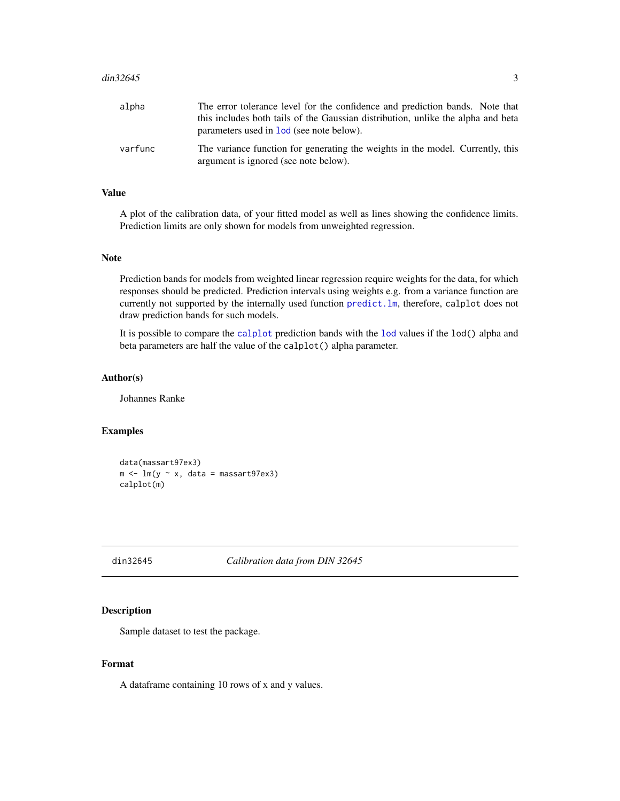#### <span id="page-2-0"></span> $\frac{\text{dim}32645}{\text{dim}32645}$  3

| alpha   | The error tolerance level for the confidence and prediction bands. Note that                                            |
|---------|-------------------------------------------------------------------------------------------------------------------------|
|         | this includes both tails of the Gaussian distribution, unlike the alpha and beta                                        |
|         | parameters used in <b>lod</b> (see note below).                                                                         |
| varfunc | The variance function for generating the weights in the model. Currently, this<br>argument is ignored (see note below). |

#### Value

A plot of the calibration data, of your fitted model as well as lines showing the confidence limits. Prediction limits are only shown for models from unweighted regression.

#### Note

Prediction bands for models from weighted linear regression require weights for the data, for which responses should be predicted. Prediction intervals using weights e.g. from a variance function are currently not supported by the internally used function [predict.lm](#page-0-0), therefore, calplot does not draw prediction bands for such models.

It is possible to compare the [calplot](#page-1-1) prediction bands with the [lod](#page-5-1) values if the lod() alpha and beta parameters are half the value of the calplot() alpha parameter.

#### Author(s)

Johannes Ranke

#### Examples

```
data(massart97ex3)
m \leq -\ln(y \sim x, \text{ data = massart97ex3})calplot(m)
```
<span id="page-2-1"></span>din32645 *Calibration data from DIN 32645*

#### Description

Sample dataset to test the package.

#### Format

A dataframe containing 10 rows of x and y values.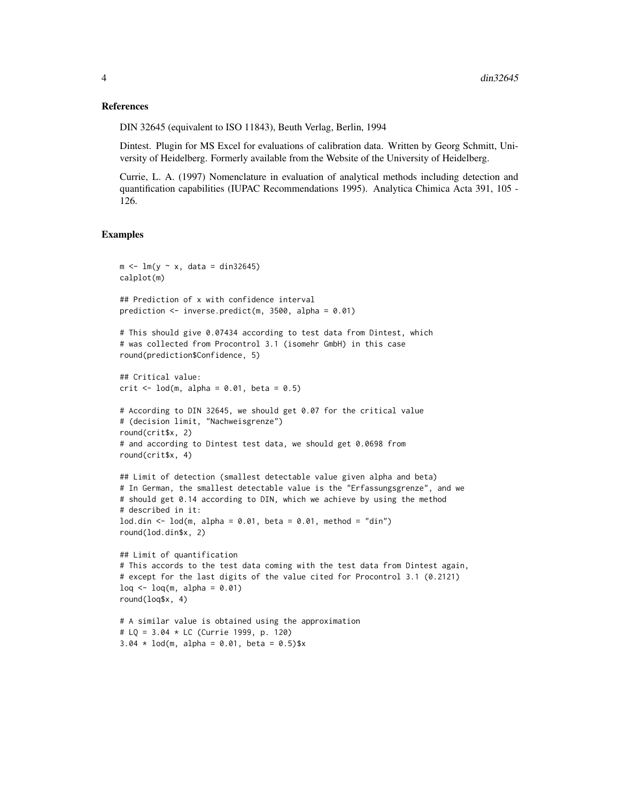#### References

DIN 32645 (equivalent to ISO 11843), Beuth Verlag, Berlin, 1994

Dintest. Plugin for MS Excel for evaluations of calibration data. Written by Georg Schmitt, University of Heidelberg. Formerly available from the Website of the University of Heidelberg.

Currie, L. A. (1997) Nomenclature in evaluation of analytical methods including detection and quantification capabilities (IUPAC Recommendations 1995). Analytica Chimica Acta 391, 105 - 126.

#### Examples

```
m \leq -\ln(y \sim x, \text{ data} = \text{din32645})calplot(m)
## Prediction of x with confidence interval
prediction <- inverse.predict(m, 3500, alpha = 0.01)
# This should give 0.07434 according to test data from Dintest, which
# was collected from Procontrol 3.1 (isomehr GmbH) in this case
round(prediction$Confidence, 5)
## Critical value:
crit \le lod(m, alpha = 0.01, beta = 0.5)
# According to DIN 32645, we should get 0.07 for the critical value
# (decision limit, "Nachweisgrenze")
round(crit$x, 2)
# and according to Dintest test data, we should get 0.0698 from
round(crit$x, 4)
## Limit of detection (smallest detectable value given alpha and beta)
# In German, the smallest detectable value is the "Erfassungsgrenze", and we
# should get 0.14 according to DIN, which we achieve by using the method
# described in it:
lod.din \leq lod(m, alpha = 0.01, beta = 0.01, method = "din")
round(lod.din$x, 2)
## Limit of quantification
# This accords to the test data coming with the test data from Dintest again,
# except for the last digits of the value cited for Procontrol 3.1 (0.2121)
log < - log(m, alpha = 0.01)round(loq$x, 4)
# A similar value is obtained using the approximation
# LQ = 3.04 * LC (Currie 1999, p. 120)
3.04 \times \text{lod(m, alpha = 0.01, beta = 0.5)}$x
```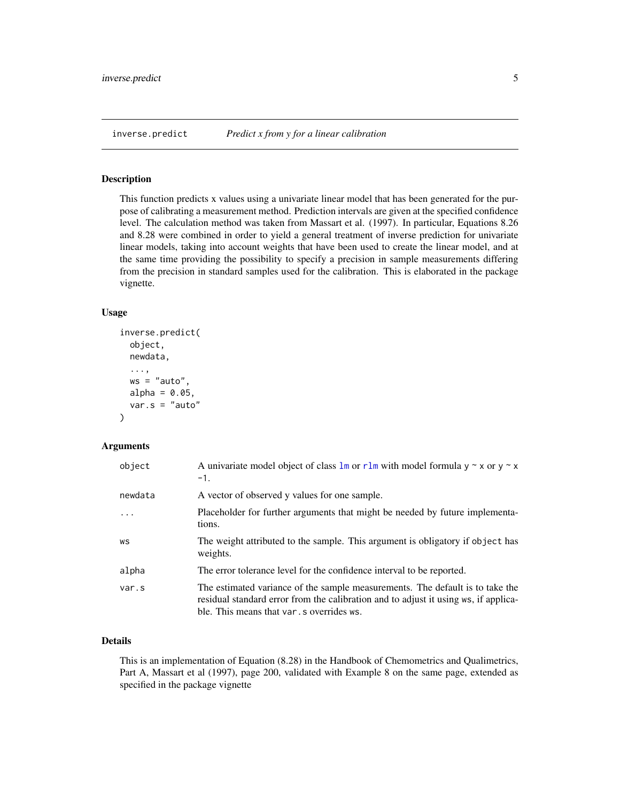<span id="page-4-1"></span><span id="page-4-0"></span>

This function predicts x values using a univariate linear model that has been generated for the purpose of calibrating a measurement method. Prediction intervals are given at the specified confidence level. The calculation method was taken from Massart et al. (1997). In particular, Equations 8.26 and 8.28 were combined in order to yield a general treatment of inverse prediction for univariate linear models, taking into account weights that have been used to create the linear model, and at the same time providing the possibility to specify a precision in sample measurements differing from the precision in standard samples used for the calibration. This is elaborated in the package vignette.

#### Usage

```
inverse.predict(
  object,
 newdata,
  ...,
 ws = "auto",alpha = 0.05,
  var.s = "auto")
```
#### Arguments

| object   | A univariate model object of class $\text{Im} \text{ or } \text{rlm}$ with model formula $y \sim x$ or $y \sim x$<br>$-1.$                                                                                        |
|----------|-------------------------------------------------------------------------------------------------------------------------------------------------------------------------------------------------------------------|
| newdata  | A vector of observed y values for one sample.                                                                                                                                                                     |
| $\ddots$ | Placeholder for further arguments that might be needed by future implementa-<br>tions.                                                                                                                            |
| WS       | The weight attributed to the sample. This argument is obligatory if object has<br>weights.                                                                                                                        |
| alpha    | The error tolerance level for the confidence interval to be reported.                                                                                                                                             |
| var.s    | The estimated variance of the sample measurements. The default is to take the<br>residual standard error from the calibration and to adjust it using ws, if applica-<br>ble. This means that var, s overrides ws. |

#### Details

This is an implementation of Equation (8.28) in the Handbook of Chemometrics and Qualimetrics, Part A, Massart et al (1997), page 200, validated with Example 8 on the same page, extended as specified in the package vignette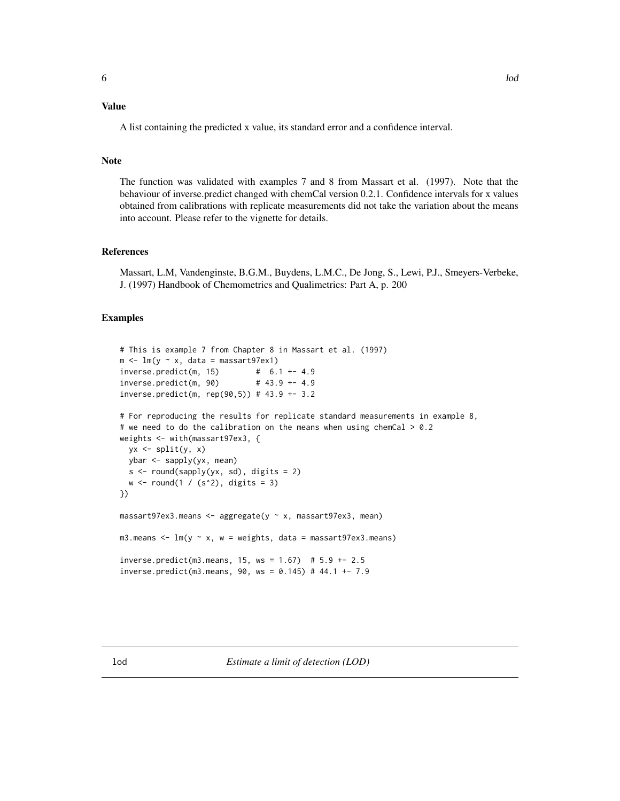#### <span id="page-5-0"></span>Value

A list containing the predicted x value, its standard error and a confidence interval.

#### Note

The function was validated with examples 7 and 8 from Massart et al. (1997). Note that the behaviour of inverse.predict changed with chemCal version 0.2.1. Confidence intervals for x values obtained from calibrations with replicate measurements did not take the variation about the means into account. Please refer to the vignette for details.

#### References

Massart, L.M, Vandenginste, B.G.M., Buydens, L.M.C., De Jong, S., Lewi, P.J., Smeyers-Verbeke, J. (1997) Handbook of Chemometrics and Qualimetrics: Part A, p. 200

#### Examples

```
# This is example 7 from Chapter 8 in Massart et al. (1997)
m \leq -\ln(y \sim x, \text{ data = massart97ex1})inverse.predict(m, 15) # 6.1 +- 4.9
inverse.predict(m, 90) # 43.9 +- 4.9
inverse.predict(m, rep(90,5)) # 43.9 +- 3.2
# For reproducing the results for replicate standard measurements in example 8,
# we need to do the calibration on the means when using chemCal > 0.2weights <- with(massart97ex3, {
 yx \leftarrow split(y, x)ybar <- sapply(yx, mean)
  s \leftarrow \text{round(sapply(yx, sd)}, \text{ digits} = 2)w \leftarrow \text{round}(1 / (s^2), \text{ digits} = 3)})
massart97ex3.means <- aggregate(y ~ x, massart97ex3, mean)
m3.means \leq - \ln(y \sim x, w = weights, data = massart97ex3.means)inverse.predict(m3.means, 15, ws = 1.67) # 5.9 +- 2.5
inverse.predict(m3.means, 90, ws = 0.145) # 44.1 +- 7.9
```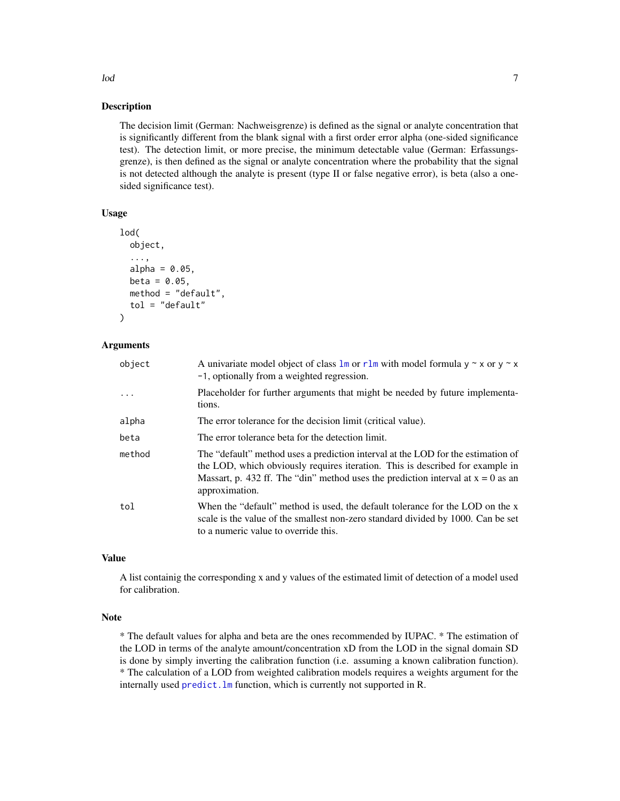The decision limit (German: Nachweisgrenze) is defined as the signal or analyte concentration that is significantly different from the blank signal with a first order error alpha (one-sided significance test). The detection limit, or more precise, the minimum detectable value (German: Erfassungsgrenze), is then defined as the signal or analyte concentration where the probability that the signal is not detected although the analyte is present (type II or false negative error), is beta (also a onesided significance test).

#### Usage

```
lod(
  object,
  ...,
  alpha = 0.05,
  beta = 0.05,
  method = "default",
  tol = "default")
```
#### Arguments

| A univariate model object of class $\text{Im} \text{ or } \text{rlm}$ with model formula $y \sim x$ or $y \sim x$<br>-1, optionally from a weighted regression.                                                                                                           |
|---------------------------------------------------------------------------------------------------------------------------------------------------------------------------------------------------------------------------------------------------------------------------|
| Placeholder for further arguments that might be needed by future implementa-<br>tions.                                                                                                                                                                                    |
| The error tolerance for the decision limit (critical value).                                                                                                                                                                                                              |
| The error tolerance beta for the detection limit.                                                                                                                                                                                                                         |
| The "default" method uses a prediction interval at the LOD for the estimation of<br>the LOD, which obviously requires iteration. This is described for example in<br>Massart, p. 432 ff. The "din" method uses the prediction interval at $x = 0$ as an<br>approximation. |
| When the "default" method is used, the default tolerance for the LOD on the x<br>scale is the value of the smallest non-zero standard divided by 1000. Can be set<br>to a numeric value to override this.                                                                 |
|                                                                                                                                                                                                                                                                           |

#### Value

A list containig the corresponding x and y values of the estimated limit of detection of a model used for calibration.

#### Note

\* The default values for alpha and beta are the ones recommended by IUPAC. \* The estimation of the LOD in terms of the analyte amount/concentration xD from the LOD in the signal domain SD is done by simply inverting the calibration function (i.e. assuming a known calibration function). \* The calculation of a LOD from weighted calibration models requires a weights argument for the internally used [predict.lm](#page-0-0) function, which is currently not supported in R.

<span id="page-6-0"></span>lod 500 and 7 and 7 and 7 and 7 and 7 and 7 and 7 and 7 and 7 and 7 and 7 and 7 and 7 and 7 and 7 and 7 and 7 and 7 and 7 and 7 and 7 and 7 and 7 and 7 and 7 and 7 and 7 and 7 and 7 and 7 and 7 and 7 and 7 and 7 and 7 and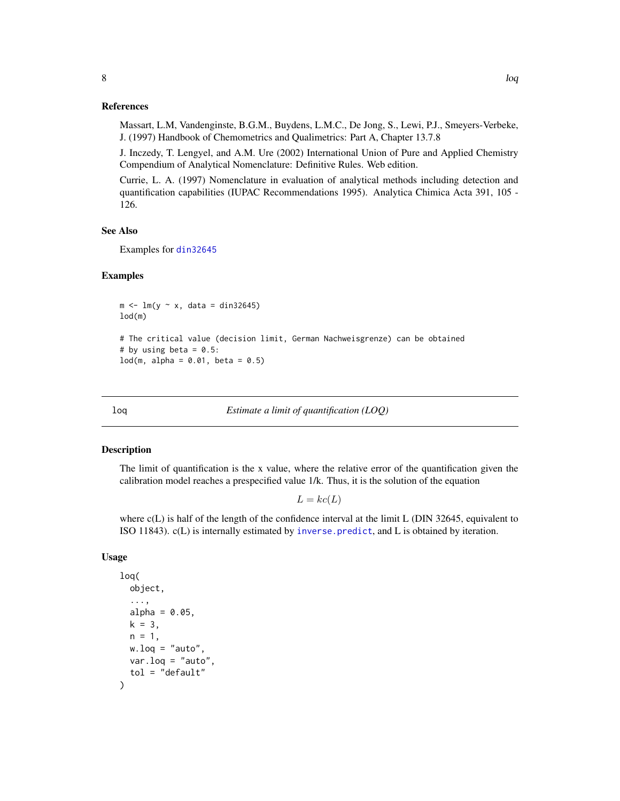<span id="page-7-0"></span>Massart, L.M, Vandenginste, B.G.M., Buydens, L.M.C., De Jong, S., Lewi, P.J., Smeyers-Verbeke, J. (1997) Handbook of Chemometrics and Qualimetrics: Part A, Chapter 13.7.8

J. Inczedy, T. Lengyel, and A.M. Ure (2002) International Union of Pure and Applied Chemistry Compendium of Analytical Nomenclature: Definitive Rules. Web edition.

Currie, L. A. (1997) Nomenclature in evaluation of analytical methods including detection and quantification capabilities (IUPAC Recommendations 1995). Analytica Chimica Acta 391, 105 - 126.

#### See Also

Examples for [din32645](#page-2-1)

#### Examples

```
m \leftarrow \text{lm}(y \sim x, \text{ data} = \text{din32645})lod(m)
# The critical value (decision limit, German Nachweisgrenze) can be obtained
# by using beta = 0.5:
lod(m, alpha = 0.01, beta = 0.5)
```
loq *Estimate a limit of quantification (LOQ)*

#### Description

The limit of quantification is the x value, where the relative error of the quantification given the calibration model reaches a prespecified value 1/k. Thus, it is the solution of the equation

 $L = kc(L)$ 

where  $c(L)$  is half of the length of the confidence interval at the limit L (DIN 32645, equivalent to ISO 11843). c(L) is internally estimated by [inverse.predict](#page-4-1), and L is obtained by iteration.

#### Usage

```
loq(
  object,
  ...,
  alpha = 0.05,
 k = 3,
 n = 1,
 w.log = "auto",var.loq = "auto",tol = "default"
)
```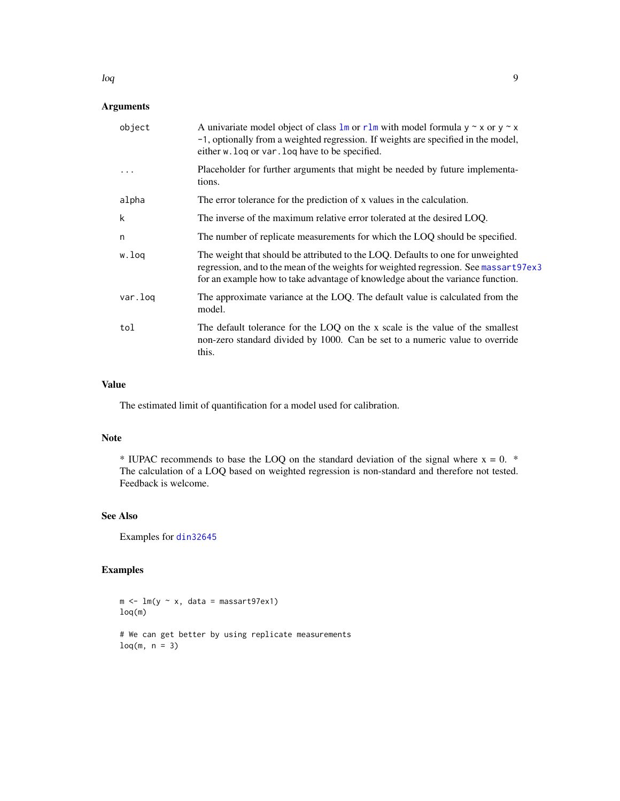#### Arguments

| object   | A univariate model object of class $\text{Im}$ or r lm with model formula $y \sim x$ or $y \sim x$<br>-1, optionally from a weighted regression. If weights are specified in the model,<br>either w. log or var. log have to be specified.                |
|----------|-----------------------------------------------------------------------------------------------------------------------------------------------------------------------------------------------------------------------------------------------------------|
| $\ddots$ | Placeholder for further arguments that might be needed by future implementa-<br>tions.                                                                                                                                                                    |
| alpha    | The error tolerance for the prediction of x values in the calculation.                                                                                                                                                                                    |
| k        | The inverse of the maximum relative error tolerated at the desired LOQ.                                                                                                                                                                                   |
| n        | The number of replicate measurements for which the LOQ should be specified.                                                                                                                                                                               |
| w.loq    | The weight that should be attributed to the LOQ. Defaults to one for unweighted<br>regression, and to the mean of the weights for weighted regression. See massart97ex3<br>for an example how to take advantage of knowledge about the variance function. |
| var.log  | The approximate variance at the LOQ. The default value is calculated from the<br>model.                                                                                                                                                                   |
| tol      | The default tolerance for the LOQ on the x scale is the value of the smallest<br>non-zero standard divided by 1000. Can be set to a numeric value to override<br>this.                                                                                    |

#### Value

The estimated limit of quantification for a model used for calibration.

#### Note

\* IUPAC recommends to base the LOQ on the standard deviation of the signal where  $x = 0$ . \* The calculation of a LOQ based on weighted regression is non-standard and therefore not tested. Feedback is welcome.

#### See Also

Examples for [din32645](#page-2-1)

#### Examples

```
m \leq -\ln(y \sim x, \text{ data = massart97ex1})loq(m)
# We can get better by using replicate measurements
log(m, n = 3)
```
<span id="page-8-0"></span>loq 9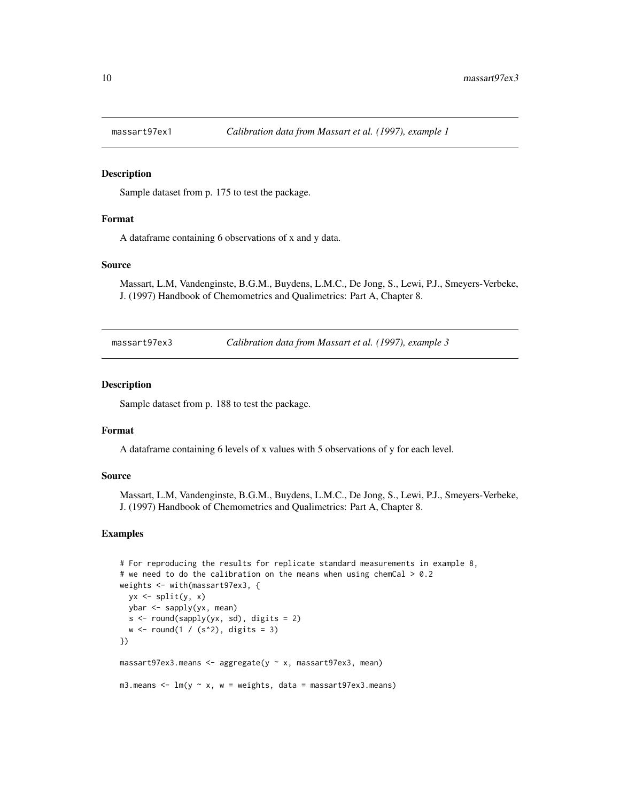<span id="page-9-0"></span>

Sample dataset from p. 175 to test the package.

#### Format

A dataframe containing 6 observations of x and y data.

#### Source

Massart, L.M, Vandenginste, B.G.M., Buydens, L.M.C., De Jong, S., Lewi, P.J., Smeyers-Verbeke, J. (1997) Handbook of Chemometrics and Qualimetrics: Part A, Chapter 8.

<span id="page-9-1"></span>massart97ex3 *Calibration data from Massart et al. (1997), example 3*

#### Description

Sample dataset from p. 188 to test the package.

#### Format

A dataframe containing 6 levels of x values with 5 observations of y for each level.

#### Source

Massart, L.M, Vandenginste, B.G.M., Buydens, L.M.C., De Jong, S., Lewi, P.J., Smeyers-Verbeke, J. (1997) Handbook of Chemometrics and Qualimetrics: Part A, Chapter 8.

#### Examples

```
# For reproducing the results for replicate standard measurements in example 8,
# we need to do the calibration on the means when using chemCal > 0.2weights <- with(massart97ex3, {
  yx \leftarrow split(y, x)ybar <- sapply(yx, mean)
  s \leftarrow \text{round(sapply(yx, sd)}, \text{ digits} = 2)w \leftarrow \text{round}(1 / (s^2), \text{ digits} = 3)})
massart97ex3.means <- aggregate(y ~ x, massart97ex3, mean)
m3.means \leq lm(y \sim x, w = weights, data = massart97ex3.means)
```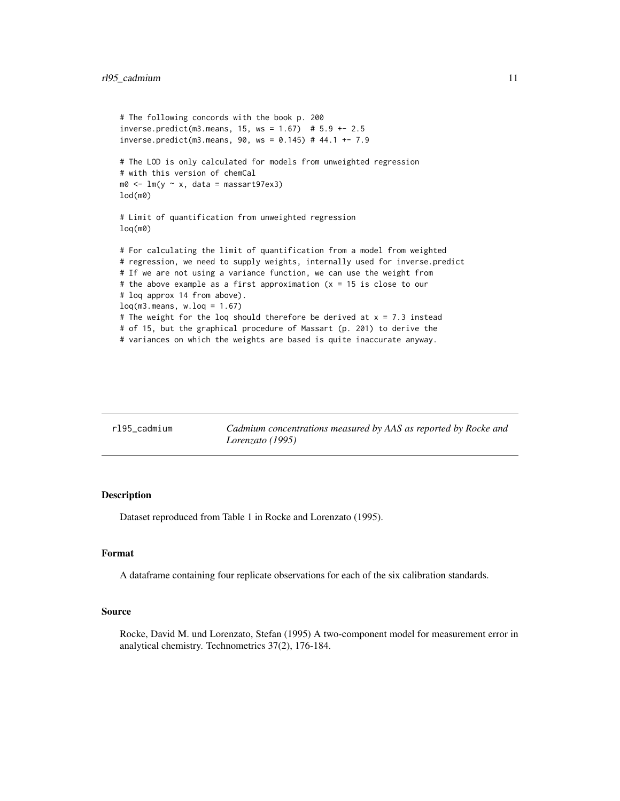```
# The following concords with the book p. 200
inverse.predict(m3.means, 15, ws = 1.67) # 5.9 +- 2.5inverse.predict(m3.means, 90, ws = 0.145) # 44.1 +- 7.9
# The LOD is only calculated for models from unweighted regression
# with this version of chemCal
m0 \leq Im(y \sim x, \text{ data = massart97ex3})lod(m0)
# Limit of quantification from unweighted regression
loq(m0)
# For calculating the limit of quantification from a model from weighted
# regression, we need to supply weights, internally used for inverse.predict
# If we are not using a variance function, we can use the weight from
# the above example as a first approximation (x = 15 is close to our
# loq approx 14 from above).
loq(m3.means, w.log = 1.67)# The weight for the loq should therefore be derived at x = 7.3 instead
# of 15, but the graphical procedure of Massart (p. 201) to derive the
# variances on which the weights are based is quite inaccurate anyway.
```

| rl95 cadmium | Cadmium concentrations measured by AAS as reported by Rocke and |
|--------------|-----------------------------------------------------------------|
|              | Lorenzato (1995)                                                |

Dataset reproduced from Table 1 in Rocke and Lorenzato (1995).

#### Format

A dataframe containing four replicate observations for each of the six calibration standards.

#### Source

Rocke, David M. und Lorenzato, Stefan (1995) A two-component model for measurement error in analytical chemistry. Technometrics 37(2), 176-184.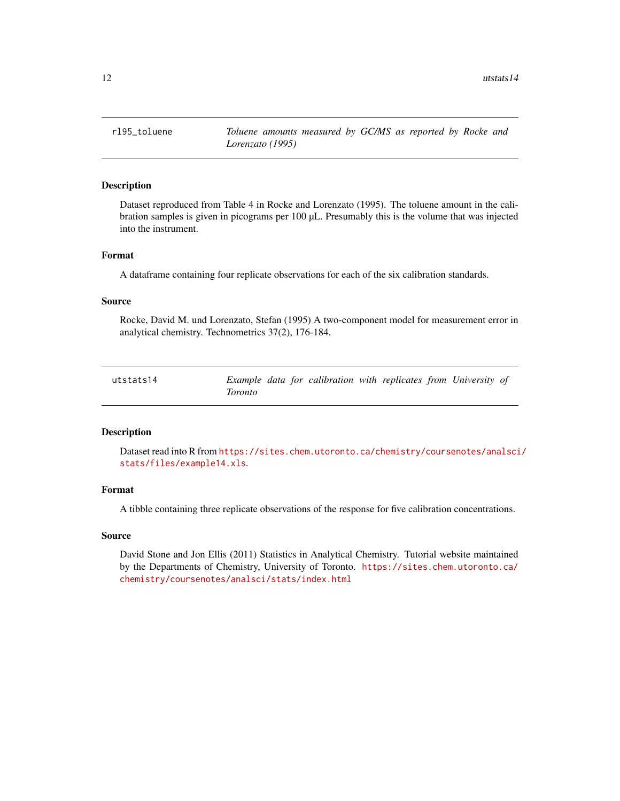<span id="page-11-0"></span>12 utstats14

rl95\_toluene *Toluene amounts measured by GC/MS as reported by Rocke and Lorenzato (1995)*

#### Description

Dataset reproduced from Table 4 in Rocke and Lorenzato (1995). The toluene amount in the calibration samples is given in picograms per 100 µL. Presumably this is the volume that was injected into the instrument.

#### Format

A dataframe containing four replicate observations for each of the six calibration standards.

#### Source

Rocke, David M. und Lorenzato, Stefan (1995) A two-component model for measurement error in analytical chemistry. Technometrics 37(2), 176-184.

| utstats14 |         |  | Example data for calibration with replicates from University of |  |  |  |
|-----------|---------|--|-----------------------------------------------------------------|--|--|--|
|           | Toronto |  |                                                                 |  |  |  |

#### Description

Dataset read into R from [https://sites.chem.utoronto.ca/chemistry/coursenotes/analsci](https://sites.chem.utoronto.ca/chemistry/coursenotes/analsci/stats/files/example14.xls)/ [stats/files/example14.xls](https://sites.chem.utoronto.ca/chemistry/coursenotes/analsci/stats/files/example14.xls).

#### Format

A tibble containing three replicate observations of the response for five calibration concentrations.

#### Source

David Stone and Jon Ellis (2011) Statistics in Analytical Chemistry. Tutorial website maintained by the Departments of Chemistry, University of Toronto. [https://sites.chem.utoronto.ca/](https://sites.chem.utoronto.ca/chemistry/coursenotes/analsci/stats/index.html) [chemistry/coursenotes/analsci/stats/index.html](https://sites.chem.utoronto.ca/chemistry/coursenotes/analsci/stats/index.html)